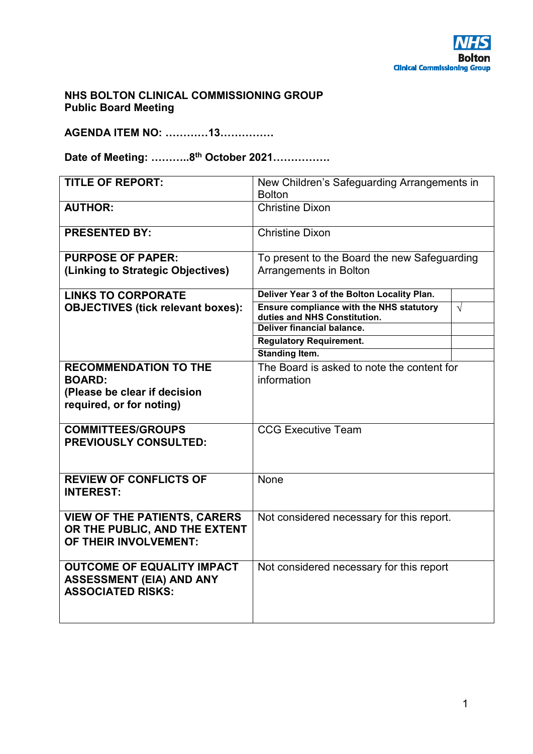# **NHS BOLTON CLINICAL COMMISSIONING GROUP Public Board Meeting**

**AGENDA ITEM NO: …………13……………** 

**Date of Meeting: ………..8th October 2021…………….** 

| <b>TITLE OF REPORT:</b>                                                                          | New Children's Safeguarding Arrangements in<br><b>Bolton</b>                    |            |
|--------------------------------------------------------------------------------------------------|---------------------------------------------------------------------------------|------------|
| <b>AUTHOR:</b>                                                                                   | <b>Christine Dixon</b>                                                          |            |
| <b>PRESENTED BY:</b>                                                                             | <b>Christine Dixon</b>                                                          |            |
| <b>PURPOSE OF PAPER:</b><br>(Linking to Strategic Objectives)                                    | To present to the Board the new Safeguarding<br>Arrangements in Bolton          |            |
| <b>LINKS TO CORPORATE</b>                                                                        | Deliver Year 3 of the Bolton Locality Plan.                                     |            |
| <b>OBJECTIVES (tick relevant boxes):</b>                                                         | <b>Ensure compliance with the NHS statutory</b><br>duties and NHS Constitution. | $\sqrt{ }$ |
|                                                                                                  | Deliver financial balance.                                                      |            |
|                                                                                                  | <b>Regulatory Requirement.</b>                                                  |            |
|                                                                                                  | <b>Standing Item.</b>                                                           |            |
| <b>RECOMMENDATION TO THE</b>                                                                     | The Board is asked to note the content for                                      |            |
| <b>BOARD:</b>                                                                                    | information                                                                     |            |
| (Please be clear if decision                                                                     |                                                                                 |            |
| required, or for noting)                                                                         |                                                                                 |            |
| <b>COMMITTEES/GROUPS</b><br><b>PREVIOUSLY CONSULTED:</b>                                         | <b>CCG Executive Team</b>                                                       |            |
| <b>REVIEW OF CONFLICTS OF</b><br><b>INTEREST:</b>                                                | None                                                                            |            |
| <b>VIEW OF THE PATIENTS, CARERS</b><br>OR THE PUBLIC, AND THE EXTENT<br>OF THEIR INVOLVEMENT:    | Not considered necessary for this report.                                       |            |
| <b>OUTCOME OF EQUALITY IMPACT</b><br><b>ASSESSMENT (EIA) AND ANY</b><br><b>ASSOCIATED RISKS:</b> | Not considered necessary for this report                                        |            |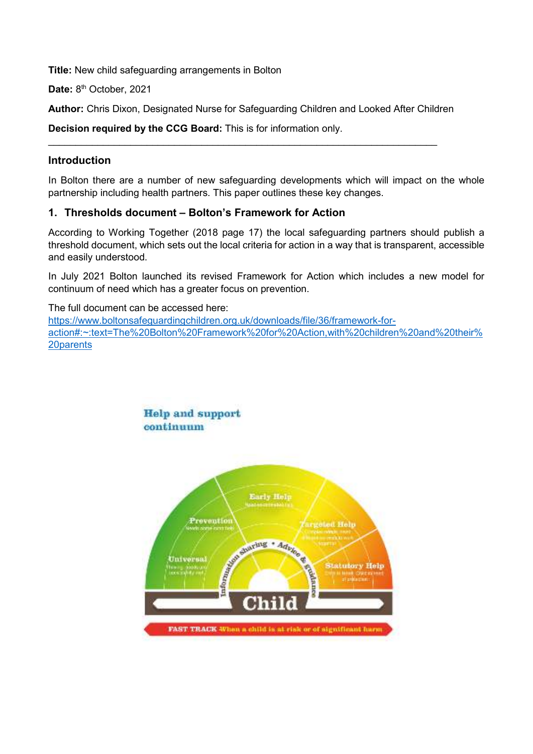**Title:** New child safeguarding arrangements in Bolton

Date: 8<sup>th</sup> October, 2021

**Author:** Chris Dixon, Designated Nurse for Safeguarding Children and Looked After Children

 $\_$  , and the set of the set of the set of the set of the set of the set of the set of the set of the set of the set of the set of the set of the set of the set of the set of the set of the set of the set of the set of th

**Decision required by the CCG Board:** This is for information only.

### **Introduction**

In Bolton there are a number of new safeguarding developments which will impact on the whole partnership including health partners. This paper outlines these key changes.

### **1. Thresholds document – Bolton's Framework for Action**

According to Working Together (2018 page 17) the local safeguarding partners should publish a threshold document, which sets out the local criteria for action in a way that is transparent, accessible and easily understood.

In July 2021 Bolton launched its revised Framework for Action which includes a new model for continuum of need which has a greater focus on prevention.

The full document can be accessed here: https://www.boltonsafeguardingchildren.org.uk/downloads/file/36/framework-foraction#:~:text=The%20Bolton%20Framework%20for%20Action,with%20children%20and%20their% 20parents

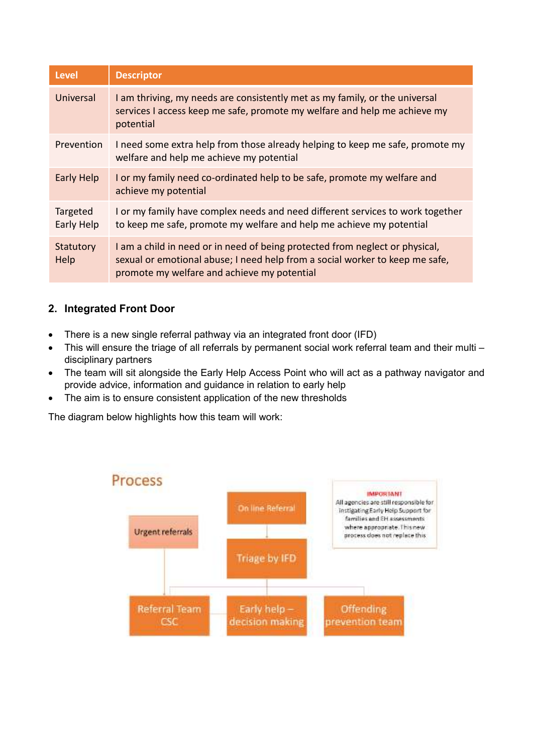| <b>Level</b>           | <b>Descriptor</b>                                                                                                                                                                                           |
|------------------------|-------------------------------------------------------------------------------------------------------------------------------------------------------------------------------------------------------------|
| Universal              | I am thriving, my needs are consistently met as my family, or the universal<br>services I access keep me safe, promote my welfare and help me achieve my<br>potential                                       |
| Prevention             | I need some extra help from those already helping to keep me safe, promote my<br>welfare and help me achieve my potential                                                                                   |
| Early Help             | I or my family need co-ordinated help to be safe, promote my welfare and<br>achieve my potential                                                                                                            |
| Targeted<br>Early Help | I or my family have complex needs and need different services to work together<br>to keep me safe, promote my welfare and help me achieve my potential                                                      |
| Statutory<br>Help      | I am a child in need or in need of being protected from neglect or physical,<br>sexual or emotional abuse; I need help from a social worker to keep me safe,<br>promote my welfare and achieve my potential |

# **2. Integrated Front Door**

- There is a new single referral pathway via an integrated front door (IFD)
- This will ensure the triage of all referrals by permanent social work referral team and their multi disciplinary partners
- The team will sit alongside the Early Help Access Point who will act as a pathway navigator and provide advice, information and guidance in relation to early help
- The aim is to ensure consistent application of the new thresholds

The diagram below highlights how this team will work: